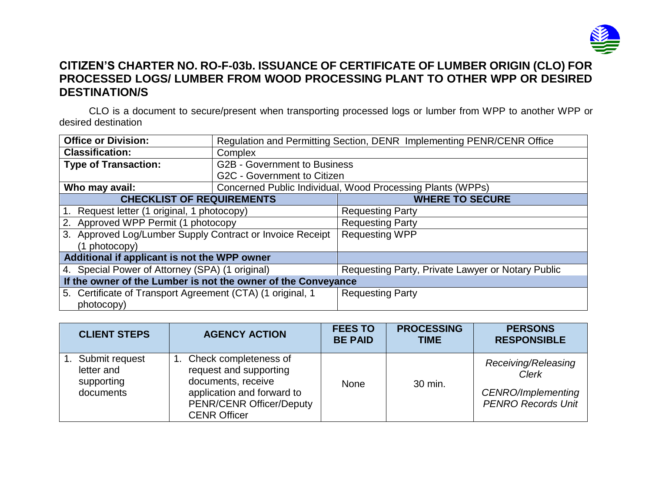

## **CITIZEN'S CHARTER NO. RO-F-03b. ISSUANCE OF CERTIFICATE OF LUMBER ORIGIN (CLO) FOR PROCESSED LOGS/ LUMBER FROM WOOD PROCESSING PLANT TO OTHER WPP OR DESIRED DESTINATION/S**

CLO is a document to secure/present when transporting processed logs or lumber from WPP to another WPP or desired destination

| <b>Office or Division:</b>                                    | Regulation and Permitting Section, DENR Implementing PENR/CENR Office |                                                   |  |  |
|---------------------------------------------------------------|-----------------------------------------------------------------------|---------------------------------------------------|--|--|
| <b>Classification:</b>                                        | Complex                                                               |                                                   |  |  |
| <b>Type of Transaction:</b>                                   | <b>G2B - Government to Business</b>                                   |                                                   |  |  |
|                                                               | G2C - Government to Citizen                                           |                                                   |  |  |
| Who may avail:                                                | Concerned Public Individual, Wood Processing Plants (WPPs)            |                                                   |  |  |
| <b>CHECKLIST OF REQUIREMENTS</b>                              |                                                                       | <b>WHERE TO SECURE</b>                            |  |  |
| 1. Request letter (1 original, 1 photocopy)                   |                                                                       | <b>Requesting Party</b>                           |  |  |
| 2. Approved WPP Permit (1 photocopy                           |                                                                       | <b>Requesting Party</b>                           |  |  |
| 3. Approved Log/Lumber Supply Contract or Invoice Receipt     |                                                                       | <b>Requesting WPP</b>                             |  |  |
| $(1$ photocopy)                                               |                                                                       |                                                   |  |  |
| Additional if applicant is not the WPP owner                  |                                                                       |                                                   |  |  |
| 4. Special Power of Attorney (SPA) (1 original)               |                                                                       | Requesting Party, Private Lawyer or Notary Public |  |  |
| If the owner of the Lumber is not the owner of the Conveyance |                                                                       |                                                   |  |  |
| 5. Certificate of Transport Agreement (CTA) (1 original, 1    |                                                                       | <b>Requesting Party</b>                           |  |  |
| photocopy)                                                    |                                                                       |                                                   |  |  |

| <b>CLIENT STEPS</b>                                     | <b>AGENCY ACTION</b>                                                                                                                                          | <b>FEES TO</b><br><b>BE PAID</b> | <b>PROCESSING</b><br><b>TIME</b> | <b>PERSONS</b><br><b>RESPONSIBLE</b>                                                   |
|---------------------------------------------------------|---------------------------------------------------------------------------------------------------------------------------------------------------------------|----------------------------------|----------------------------------|----------------------------------------------------------------------------------------|
| Submit request<br>letter and<br>supporting<br>documents | Check completeness of<br>request and supporting<br>documents, receive<br>application and forward to<br><b>PENR/CENR Officer/Deputy</b><br><b>CENR Officer</b> | None                             | 30 min.                          | Receiving/Releasing<br><b>Clerk</b><br>CENRO/Implementing<br><b>PENRO Records Unit</b> |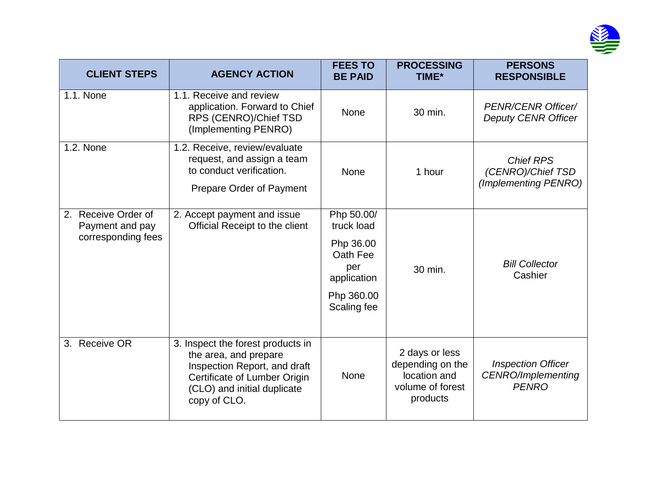

| <b>CLIENT STEPS</b>                                             | <b>AGENCY ACTION</b>                                                                                                                                                      | <b>FEES TO</b><br><b>BE PAID</b>                                                                     | <b>PROCESSING</b><br>TIME*                                                         | <b>PERSONS</b><br><b>RESPONSIBLE</b>                            |
|-----------------------------------------------------------------|---------------------------------------------------------------------------------------------------------------------------------------------------------------------------|------------------------------------------------------------------------------------------------------|------------------------------------------------------------------------------------|-----------------------------------------------------------------|
| 1.1. None                                                       | 1.1. Receive and review<br>application. Forward to Chief<br>RPS (CENRO)/Chief TSD<br>(Implementing PENRO)                                                                 | <b>None</b>                                                                                          | 30 min.                                                                            | <b>PENR/CENR Officer/</b><br><b>Deputy CENR Officer</b>         |
| 1.2. None                                                       | 1.2. Receive, review/evaluate<br>request, and assign a team<br>to conduct verification.<br>Prepare Order of Payment                                                       | <b>None</b>                                                                                          | 1 hour                                                                             | <b>Chief RPS</b><br>(CENRO)/Chief TSD<br>(Implementing PENRO)   |
| Receive Order of<br>2.<br>Payment and pay<br>corresponding fees | 2. Accept payment and issue<br>Official Receipt to the client                                                                                                             | Php 50.00/<br>truck load<br>Php 36.00<br>Oath Fee<br>per<br>application<br>Php 360.00<br>Scaling fee | 30 min.                                                                            | <b>Bill Collector</b><br>Cashier                                |
| 3. Receive OR                                                   | 3. Inspect the forest products in<br>the area, and prepare<br>Inspection Report, and draft<br>Certificate of Lumber Origin<br>(CLO) and initial duplicate<br>copy of CLO. | None                                                                                                 | 2 days or less<br>depending on the<br>location and<br>volume of forest<br>products | <b>Inspection Officer</b><br>CENRO/Implementing<br><b>PENRO</b> |